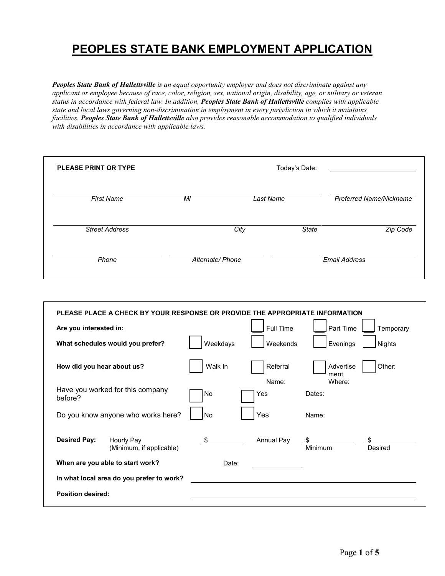# **PEOPLES STATE BANK EMPLOYMENT APPLICATION**

*Peoples State Bank of Hallettsville is an equal opportunity employer and does not discriminate against any applicant or employee because of race, color, religion, sex, national origin, disability, age, or military or veteran status in accordance with federal law. In addition, Peoples State Bank of Hallettsville complies with applicable state and local laws governing non-discrimination in employment in every jurisdiction in which it maintains facilities. Peoples State Bank of Hallettsville also provides reasonable accommodation to qualified individuals with disabilities in accordance with applicable laws.*

| <b>PLEASE PRINT OR TYPE</b> |                  |           | Today's Date: |                         |
|-----------------------------|------------------|-----------|---------------|-------------------------|
| <b>First Name</b>           | МI               | Last Name |               | Preferred Name/Nickname |
| <b>Street Address</b>       |                  | City      | State         | Zip Code                |
| Phone                       | Alternate/ Phone |           |               | <b>Email Address</b>    |

| Are you interested in:     |                                           |           | Full Time         | Part Time                   | Temporary      |
|----------------------------|-------------------------------------------|-----------|-------------------|-----------------------------|----------------|
|                            | What schedules would you prefer?          | Weekdays  | Weekends          | Evenings                    | <b>Nights</b>  |
| How did you hear about us? |                                           | Walk In   | Referral<br>Name: | Advertise<br>ment<br>Where: | Other:         |
| before?                    | Have you worked for this company          | No        | Yes               | Dates:                      |                |
|                            | Do you know anyone who works here?        | <b>No</b> | Yes               | Name:                       |                |
| <b>Desired Pay:</b>        | Hourly Pay<br>(Minimum, if applicable)    | \$        | <b>Annual Pay</b> | Minimum                     | \$.<br>Desired |
|                            | When are you able to start work?          | Date:     |                   |                             |                |
|                            | In what local area do you prefer to work? |           |                   |                             |                |
| <b>Position desired:</b>   |                                           |           |                   |                             |                |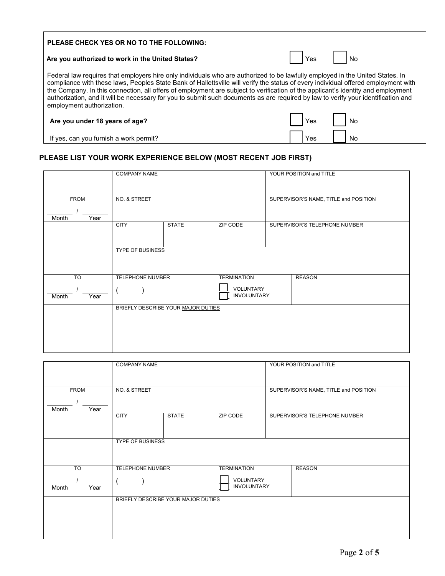| PLEASE CHECK YES OR NO TO THE FOLLOWING:                                                                                                                                                                                                                                                                                                                                                                                                                                                                                                                                  |     |           |
|---------------------------------------------------------------------------------------------------------------------------------------------------------------------------------------------------------------------------------------------------------------------------------------------------------------------------------------------------------------------------------------------------------------------------------------------------------------------------------------------------------------------------------------------------------------------------|-----|-----------|
| Are you authorized to work in the United States?                                                                                                                                                                                                                                                                                                                                                                                                                                                                                                                          | Yes |           |
| Federal law requires that employers hire only individuals who are authorized to be lawfully employed in the United States. In<br>compliance with these laws, Peoples State Bank of Hallettsville will verify the status of every individual offered employment with<br>the Company. In this connection, all offers of employment are subject to verification of the applicant's identity and employment<br>authorization, and it will be necessary for you to submit such documents as are required by law to verify your identification and<br>employment authorization. |     |           |
| Are you under 18 years of age?                                                                                                                                                                                                                                                                                                                                                                                                                                                                                                                                            | Yes | <b>No</b> |
| If yes, can you furnish a work permit?                                                                                                                                                                                                                                                                                                                                                                                                                                                                                                                                    | Yes | <b>No</b> |

## **PLEASE LIST YOUR WORK EXPERIENCE BELOW (MOST RECENT JOB FIRST)**

|                 | <b>COMPANY NAME</b>     |                                    |                                 | YOUR POSITION and TITLE               |
|-----------------|-------------------------|------------------------------------|---------------------------------|---------------------------------------|
|                 |                         |                                    |                                 |                                       |
| <b>FROM</b>     | NO. & STREET            |                                    |                                 | SUPERVISOR'S NAME, TITLE and POSITION |
| Month<br>Year   |                         |                                    |                                 |                                       |
|                 | <b>CITY</b>             | <b>STATE</b>                       | <b>ZIP CODE</b>                 | SUPERVISOR'S TELEPHONE NUMBER         |
|                 |                         |                                    |                                 |                                       |
|                 | <b>TYPE OF BUSINESS</b> |                                    |                                 |                                       |
|                 |                         |                                    |                                 |                                       |
| $\overline{10}$ | <b>TELEPHONE NUMBER</b> |                                    | <b>TERMINATION</b>              | <b>REASON</b>                         |
| Month<br>Year   |                         |                                    | VOLUNTARY<br><b>INVOLUNTARY</b> |                                       |
|                 |                         | BRIEFLY DESCRIBE YOUR MAJOR DUTIES |                                 |                                       |
|                 |                         |                                    |                                 |                                       |
|                 |                         |                                    |                                 |                                       |
|                 |                         |                                    |                                 |                                       |

|               | <b>COMPANY NAME</b>     |                                    |                                 | YOUR POSITION and TITLE               |
|---------------|-------------------------|------------------------------------|---------------------------------|---------------------------------------|
|               |                         |                                    |                                 |                                       |
| <b>FROM</b>   | NO. & STREET            |                                    |                                 | SUPERVISOR'S NAME, TITLE and POSITION |
| Month<br>Year |                         |                                    |                                 |                                       |
|               | <b>CITY</b>             | <b>STATE</b>                       | <b>ZIP CODE</b>                 | SUPERVISOR'S TELEPHONE NUMBER         |
|               |                         |                                    |                                 |                                       |
|               | <b>TYPE OF BUSINESS</b> |                                    |                                 |                                       |
|               |                         |                                    |                                 |                                       |
| TO            | TELEPHONE NUMBER        |                                    | <b>TERMINATION</b>              | <b>REASON</b>                         |
| Month<br>Year |                         |                                    | VOLUNTARY<br><b>INVOLUNTARY</b> |                                       |
|               |                         | BRIEFLY DESCRIBE YOUR MAJOR DUTIES |                                 |                                       |
|               |                         |                                    |                                 |                                       |
|               |                         |                                    |                                 |                                       |
|               |                         |                                    |                                 |                                       |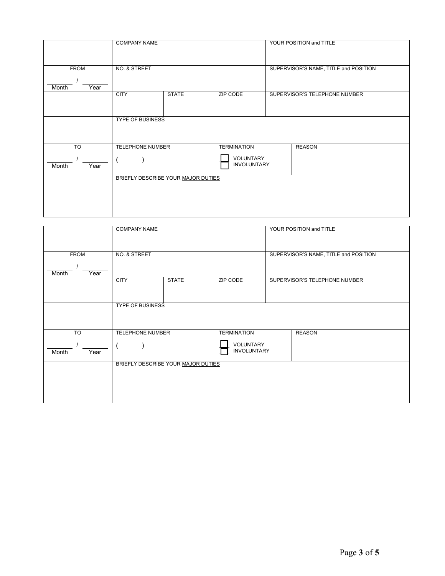|                 | <b>COMPANY NAME</b>     |                                    |                    | YOUR POSITION and TITLE               |
|-----------------|-------------------------|------------------------------------|--------------------|---------------------------------------|
|                 |                         |                                    |                    |                                       |
|                 |                         |                                    |                    |                                       |
|                 |                         |                                    |                    |                                       |
| <b>FROM</b>     | <b>NO. &amp; STREET</b> |                                    |                    | SUPERVISOR'S NAME, TITLE and POSITION |
|                 |                         |                                    |                    |                                       |
|                 |                         |                                    |                    |                                       |
| Month<br>Year   | <b>CITY</b>             | <b>STATE</b>                       | <b>ZIP CODE</b>    | SUPERVISOR'S TELEPHONE NUMBER         |
|                 |                         |                                    |                    |                                       |
|                 |                         |                                    |                    |                                       |
|                 |                         |                                    |                    |                                       |
|                 | <b>TYPE OF BUSINESS</b> |                                    |                    |                                       |
|                 |                         |                                    |                    |                                       |
|                 |                         |                                    |                    |                                       |
|                 |                         |                                    |                    |                                       |
| $\overline{10}$ | TELEPHONE NUMBER        |                                    | <b>TERMINATION</b> | <b>REASON</b>                         |
|                 |                         |                                    | VOLUNTARY          |                                       |
| Month<br>Year   |                         |                                    | <b>INVOLUNTARY</b> |                                       |
|                 |                         |                                    |                    |                                       |
|                 |                         | BRIEFLY DESCRIBE YOUR MAJOR DUTIES |                    |                                       |
|                 |                         |                                    |                    |                                       |
|                 |                         |                                    |                    |                                       |
|                 |                         |                                    |                    |                                       |
|                 |                         |                                    |                    |                                       |
|                 |                         |                                    |                    |                                       |

|                                  | <b>COMPANY NAME</b>     |                                    |                                                       | YOUR POSITION and TITLE               |
|----------------------------------|-------------------------|------------------------------------|-------------------------------------------------------|---------------------------------------|
| <b>FROM</b><br>Month<br>Year     | NO. & STREET            |                                    |                                                       | SUPERVISOR'S NAME, TITLE and POSITION |
|                                  | <b>CITY</b>             | <b>STATE</b>                       | ZIP CODE                                              | SUPERVISOR'S TELEPHONE NUMBER         |
|                                  | <b>TYPE OF BUSINESS</b> |                                    |                                                       |                                       |
| $\overline{10}$<br>Month<br>Year | <b>TELEPHONE NUMBER</b> |                                    | <b>TERMINATION</b><br>VOLUNTARY<br><b>INVOLUNTARY</b> | <b>REASON</b>                         |
|                                  |                         | BRIEFLY DESCRIBE YOUR MAJOR DUTIES |                                                       |                                       |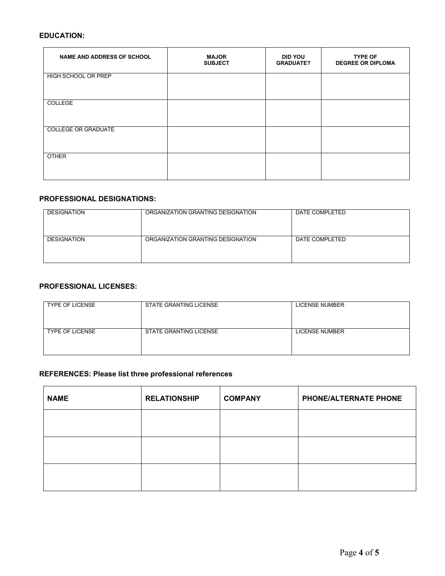#### **EDUCATION:**

| <b>NAME AND ADDRESS OF SCHOOL</b> | <b>MAJOR</b><br><b>SUBJECT</b> | <b>DID YOU</b><br><b>GRADUATE?</b> | <b>TYPE OF</b><br><b>DEGREE OR DIPLOMA</b> |
|-----------------------------------|--------------------------------|------------------------------------|--------------------------------------------|
| HIGH SCHOOL OR PREP               |                                |                                    |                                            |
| COLLEGE                           |                                |                                    |                                            |
| <b>COLLEGE OR GRADUATE</b>        |                                |                                    |                                            |
| <b>OTHER</b>                      |                                |                                    |                                            |

#### **PROFESSIONAL DESIGNATIONS:**

| DESIGNATION        | ORGANIZATION GRANTING DESIGNATION | DATE COMPLETED |
|--------------------|-----------------------------------|----------------|
| <b>DESIGNATION</b> | ORGANIZATION GRANTING DESIGNATION | DATE COMPLETED |

#### **PROFESSIONAL LICENSES:**

| <b>TYPE OF LICENSE</b> | <b>STATE GRANTING LICENSE</b> | <b>LICENSE NUMBER</b> |
|------------------------|-------------------------------|-----------------------|
| <b>TYPE OF LICENSE</b> | <b>STATE GRANTING LICENSE</b> | <b>LICENSE NUMBER</b> |

### **REFERENCES: Please list three professional references**

| <b>NAME</b> | <b>RELATIONSHIP</b> | <b>COMPANY</b> | PHONE/ALTERNATE PHONE |
|-------------|---------------------|----------------|-----------------------|
|             |                     |                |                       |
|             |                     |                |                       |
|             |                     |                |                       |